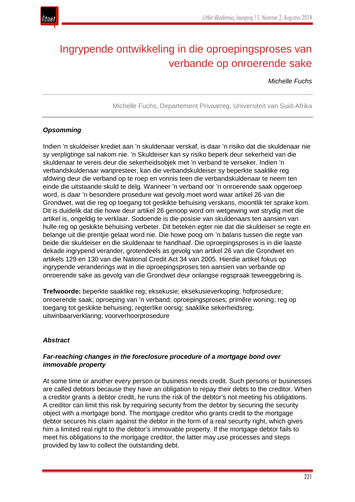

# Ingrypende ontwikkeling in die oproepingsproses van verbande op onroerende sake

*Michelle Fuchs*

Michelle Fuchs, Departement Privaatreg, Universiteit van Suid-Afrika

## *Opsomming*

Indien 'n skuldeiser krediet aan 'n skuldenaar verskaf, is daar 'n risiko dat die skuldenaar nie sy verpligtinge sal nakom nie. 'n Skuldeiser kan sy risiko beperk deur sekerheid van die skuldenaar te vereis deur die sekerheidsobjek met 'n verband te verseker. Indien 'n verbandskuldenaar wanpresteer, kan die verbandskuldeiser sy beperkte saaklike reg afdwing deur die verband op te roep en vonnis teen die verbandskuldenaar te neem ten einde die uitstaande skuld te delg. Wanneer 'n verband oor 'n onroerende saak opgeroep word, is daar 'n besondere prosedure wat gevolg moet word waar artikel 26 van die Grondwet, wat die reg op toegang tot geskikte behuising verskans, moontlik ter sprake kom. Dit is duidelik dat die howe deur artikel 26 genoop word om wetgewing wat strydig met die artikel is, ongeldig te verklaar. Sodoende is die posisie van skuldenaars ten aansien van hulle reg op geskikte behuising verbeter. Dit beteken egter nie dat die skuldeiser se regte en belange uit die prentjie gelaat word nie. Die howe poog om 'n balans tussen die regte van beide die skuldeiser en die skuldenaar te handhaaf. Die oproepingsproses is in die laaste dekade ingrypend verander, grotendeels as gevolg van artikel 26 van die Grondwet en artikels 129 en 130 van die National Credit Act 34 van 2005. Hierdie artikel fokus op ingrypende veranderings wat in die oproepingsproses ten aansien van verbande op onroerende sake as gevolg van die Grondwet deur onlangse regspraak teweeggebring is.

**Trefwoorde:** beperkte saaklike reg; eksekusie; eksekusieverkoping; hofprosedure; onroerende saak; oproeping van 'n verband; oproepingsproses; primêre woning; reg op toegang tot geskikte behuising; regterlike oorsig; saaklike sekerheidsreg; uitwinbaarverklaring; voorverhoorprosedure

## *Abstract*

## *Far-reaching changes in the foreclosure procedure of a mortgage bond over immovable property*

At some time or another every person or business needs credit. Such persons or businesses are called debtors because they have an obligation to repay their debts to the creditor. When a creditor grants a debtor credit, he runs the risk of the debtor's not meeting his obligations. A creditor can limit this risk by requiring security from the debtor by securing the security object with a mortgage bond. The mortgage creditor who grants credit to the mortgage debtor secures his claim against the debtor in the form of a real security right, which gives him a limited real right to the debtor's immovable property. If the mortgage debtor fails to meet his obligations to the mortgage creditor, the latter may use processes and steps provided by law to collect the outstanding debt.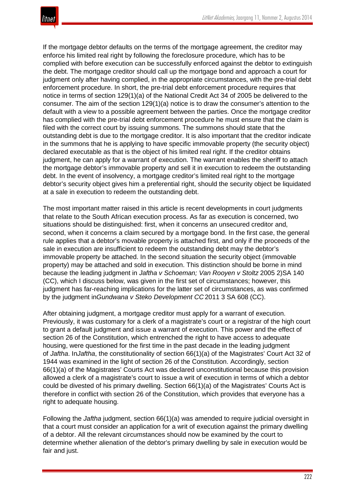

If the mortgage debtor defaults on the terms of the mortgage agreement, the creditor may enforce his limited real right by following the foreclosure procedure, which has to be complied with before execution can be successfully enforced against the debtor to extinguish the debt. The mortgage creditor should call up the mortgage bond and approach a court for judgment only after having complied, in the appropriate circumstances, with the pre-trial debt enforcement procedure. In short, the pre-trial debt enforcement procedure requires that notice in terms of section 129(1)(a) of the National Credit Act 34 of 2005 be delivered to the consumer. The aim of the section 129(1)(a) notice is to draw the consumer's attention to the default with a view to a possible agreement between the parties. Once the mortgage creditor has complied with the pre-trial debt enforcement procedure he must ensure that the claim is filed with the correct court by issuing summons. The summons should state that the outstanding debt is due to the mortgage creditor. It is also important that the creditor indicate in the summons that he is applying to have specific immovable property (the security object) declared executable as that is the object of his limited real right. If the creditor obtains judgment, he can apply for a warrant of execution. The warrant enables the sheriff to attach the mortgage debtor's immovable property and sell it in execution to redeem the outstanding debt. In the event of insolvency, a mortgage creditor's limited real right to the mortgage debtor's security object gives him a preferential right, should the security object be liquidated at a sale in execution to redeem the outstanding debt.

The most important matter raised in this article is recent developments in court judgments that relate to the South African execution process. As far as execution is concerned, two situations should be distinguished: first, when it concerns an unsecured creditor and, second, when it concerns a claim secured by a mortgage bond. In the first case, the general rule applies that a debtor's movable property is attached first, and only if the proceeds of the sale in execution are insufficient to redeem the outstanding debt may the debtor's immovable property be attached. In the second situation the security object (immovable property) may be attached and sold in execution. This distinction should be borne in mind because the leading judgment in *Jaftha v Schoeman; Van Rooyen v Stoltz* 2005 2)SA 140 (CC), which I discuss below, was given in the first set of circumstances; however, this judgment has far-reaching implications for the latter set of circumstances, as was confirmed by the judgment in*Gundwana v Steko Development CC* 2011 3 SA 608 (CC).

After obtaining judgment, a mortgage creditor must apply for a warrant of execution. Previously, it was customary for a clerk of a magistrate's court or a registrar of the high court to grant a default judgment and issue a warrant of execution. This power and the effect of section 26 of the Constitution, which entrenched the right to have access to adequate housing, were questioned for the first time in the past decade in the leading judgment of *Jaftha*. In*Jaftha*, the constitutionality of section 66(1)(a) of the Magistrates' Court Act 32 of 1944 was examined in the light of section 26 of the Constitution. Accordingly, section 66(1)(a) of the Magistrates' Courts Act was declared unconstitutional because this provision allowed a clerk of a magistrate's court to issue a writ of execution in terms of which a debtor could be divested of his primary dwelling. Section 66(1)(a) of the Magistrates' Courts Act is therefore in conflict with section 26 of the Constitution, which provides that everyone has a right to adequate housing.

Following the *Jaftha* judgment, section 66(1)(a) was amended to require judicial oversight in that a court must consider an application for a writ of execution against the primary dwelling of a debtor. All the relevant circumstances should now be examined by the court to determine whether alienation of the debtor's primary dwelling by sale in execution would be fair and just.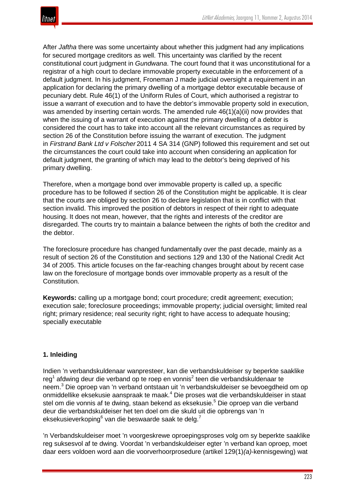

After *Jaftha* there was some uncertainty about whether this judgment had any implications for secured mortgage creditors as well. This uncertainty was clarified by the recent constitutional court judgment in *Gundwana*. The court found that it was unconstitutional for a registrar of a high court to declare immovable property executable in the enforcement of a default judgment. In his judgment, Froneman J made judicial oversight a requirement in an application for declaring the primary dwelling of a mortgage debtor executable because of pecuniary debt. Rule 46(1) of the Uniform Rules of Court, which authorised a registrar to issue a warrant of execution and to have the debtor's immovable property sold in execution, was amended by inserting certain words. The amended rule  $46(1)(a)(ii)$  now provides that when the issuing of a warrant of execution against the primary dwelling of a debtor is considered the court has to take into account all the relevant circumstances as required by section 26 of the Constitution before issuing the warrant of execution. The judgment in *Firstrand Bank Ltd v Folscher* 2011 4 SA 314 (GNP) followed this requirement and set out the circumstances the court could take into account when considering an application for default judgment, the granting of which may lead to the debtor's being deprived of his primary dwelling.

Therefore, when a mortgage bond over immovable property is called up, a specific procedure has to be followed if section 26 of the Constitution might be applicable. It is clear that the courts are obliged by section 26 to declare legislation that is in conflict with that section invalid. This improved the position of debtors in respect of their right to adequate housing. It does not mean, however, that the rights and interests of the creditor are disregarded. The courts try to maintain a balance between the rights of both the creditor and the debtor.

The foreclosure procedure has changed fundamentally over the past decade, mainly as a result of section 26 of the Constitution and sections 129 and 130 of the National Credit Act 34 of 2005. This article focuses on the far-reaching changes brought about by recent case law on the foreclosure of mortgage bonds over immovable property as a result of the Constitution.

**Keywords:** calling up a mortgage bond; court procedure; credit agreement; execution; execution sale; foreclosure proceedings; immovable property; judicial oversight; limited real right; primary residence; real security right; right to have access to adequate housing; specially executable

## **1. Inleiding**

Indien 'n verbandskuldenaar wanpresteer, kan die verbandskuldeiser sy beperkte saaklike reg<sup>1</sup> afdwing deur die verband op te roep en vonnis<sup>2</sup> teen die verbandskuldenaar te neem.<sup>3</sup> Die oproep van 'n verband ontstaan uit 'n verbandskuldeiser se bevoegdheid om op onmiddellike eksekusie aanspraak te maak.<sup>4</sup> Die proses wat die verbandskuldeiser in staat stel om die vonnis af te dwing, staan bekend as eksekusie.<sup>5</sup> Die oproep van die verband deur die verbandskuldeiser het ten doel om die skuld uit die opbrengs van 'n eksekusieverkoping $6$  van die beswaarde saak te delg.<sup>7</sup>

'n Verbandskuldeiser moet 'n voorgeskrewe oproepingsproses volg om sy beperkte saaklike reg suksesvol af te dwing. Voordat 'n verbandskuldeiser egter 'n verband kan oproep, moet daar eers voldoen word aan die voorverhoorprosedure (artikel 129(1)*(a)*-kennisgewing) wat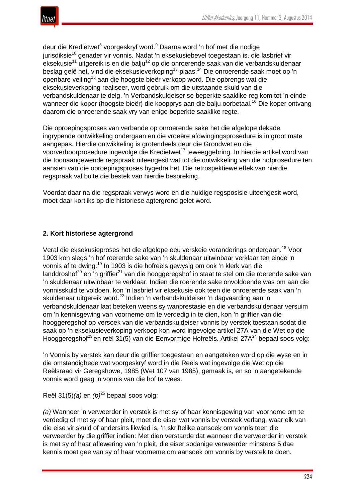

deur die Kredietwet<sup>8</sup> voorgeskryf word.<sup>9</sup> Daarna word 'n hof met die nodige jurisdiksie<sup>10</sup> genader vir vonnis. Nadat 'n eksekusiebevel toegestaan is, die lasbrief vir  $e^{i\theta}$ eksekusie<sup>11</sup> uitgereik is en die balju<sup>12</sup> op die onroerende saak van die verbandskuldenaar beslag gelê het, vind die eksekusieverkoping<sup>13</sup> plaas.<sup>14</sup> Die onroerende saak moet op 'n openbare veiling<sup>15</sup> aan die hoogste bieër verkoop word. Die opbrengs wat die eksekusieverkoping realiseer, word gebruik om die uitstaande skuld van die verbandskuldenaar te delg. 'n Verbandskuldeiser se beperkte saaklike reg kom tot 'n einde wanneer die koper (hoogste bieër) die koopprys aan die balju oorbetaal.<sup>16</sup> Die koper ontvang daarom die onroerende saak vry van enige beperkte saaklike regte.

Die oproepingsproses van verbande op onroerende sake het die afgelope dekade ingrypende ontwikkeling ondergaan en die vroeëre afdwingingsprosedure is in groot mate aangepas. Hierdie ontwikkeling is grotendeels deur die Grondwet en die voorverhoorprosedure ingevolge die Kredietwet<sup>17</sup> teweeggebring. In hierdie artikel word van die toonaangewende regspraak uiteengesit wat tot die ontwikkeling van die hofprosedure ten aansien van die oproepingsproses bygedra het. Die retrospektiewe effek van hierdie regspraak val buite die bestek van hierdie bespreking.

Voordat daar na die regspraak verwys word en die huidige regsposisie uiteengesit word, moet daar kortliks op die historiese agtergrond gelet word.

## **2. Kort historiese agtergrond**

Veral die eksekusieproses het die afgelope eeu verskeie veranderings ondergaan.<sup>18</sup> Voor 1903 kon slegs 'n hof roerende sake van 'n skuldenaar uitwinbaar verklaar ten einde 'n vonnis af te dwing.<sup>19</sup> In 1903 is die hofreëls gewysig om ook 'n klerk van die landdroshof<sup>20</sup> en 'n griffier<sup>21</sup> van die hooggeregshof in staat te stel om die roerende sake van 'n skuldenaar uitwinbaar te verklaar. Indien die roerende sake onvoldoende was om aan die vonnisskuld te voldoen, kon 'n lasbrief vir eksekusie ook teen die onroerende saak van 'n skuldenaar uitgereik word.<sup>22</sup> Indien 'n verbandskuldeiser 'n dagvaarding aan 'n verbandskuldenaar laat beteken weens sy wanprestasie en die verbandskuldenaar versuim om 'n kennisgewing van voorneme om te verdedig in te dien, kon 'n griffier van die hooggeregshof op versoek van die verbandskuldeiser vonnis by verstek toestaan sodat die saak op 'n eksekusieverkoping verkoop kon word ingevolge artikel 27A van die Wet op die Hooggeregshof<sup>23</sup> en reël 31(5) van die Eenvormige Hofreëls. Artikel 27A<sup>24</sup> bepaal soos volg:

'n Vonnis by verstek kan deur die griffier toegestaan en aangeteken word op die wyse en in die omstandighede wat voorgeskryf word in die Reëls wat ingevolge die Wet op die Reëlsraad vir Geregshowe, 1985 (Wet 107 van 1985), gemaak is, en so 'n aangetekende vonnis word geag 'n vonnis van die hof te wees.

Reël 31(5)*(a)* en *(b)*<sup>25</sup> bepaal soos volg:

*(a)* Wanneer 'n verweerder in verstek is met sy of haar kennisgewing van voorneme om te verdedig of met sy of haar pleit, moet die eiser wat vonnis by verstek verlang, waar elk van die eise vir skuld of andersins likwied is, 'n skriftelike aansoek om vonnis teen die verweerder by die griffier indien: Met dien verstande dat wanneer die verweerder in verstek is met sy of haar aflewering van 'n pleit, die eiser sodanige verweerder minstens 5 dae kennis moet gee van sy of haar voorneme om aansoek om vonnis by verstek te doen.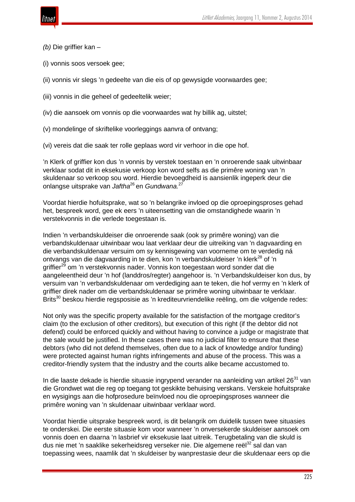

- *(b)* Die griffier kan –
- (i) vonnis soos versoek gee;
- (ii) vonnis vir slegs 'n gedeelte van die eis of op gewysigde voorwaardes gee;
- (iii) vonnis in die geheel of gedeeltelik weier;
- (iv) die aansoek om vonnis op die voorwaardes wat hy billik ag, uitstel;
- (v) mondelinge of skriftelike voorleggings aanvra of ontvang;
- (vi) vereis dat die saak ter rolle geplaas word vir verhoor in die ope hof.

'n Klerk of griffier kon dus 'n vonnis by verstek toestaan en 'n onroerende saak uitwinbaar verklaar sodat dit in eksekusie verkoop kon word selfs as die primêre woning van 'n skuldenaar so verkoop sou word. Hierdie bevoegdheid is aansienlik ingeperk deur die onlangse uitsprake van *Jaftha*<sup>26</sup> en *Gundwana.*<sup>27</sup>

Voordat hierdie hofuitsprake, wat so 'n belangrike invloed op die oproepingsproses gehad het, bespreek word, gee ek eers 'n uiteensetting van die omstandighede waarin 'n verstekvonnis in die verlede toegestaan is.

Indien 'n verbandskuldeiser die onroerende saak (ook sy primêre woning) van die verbandskuldenaar uitwinbaar wou laat verklaar deur die uitreiking van 'n dagvaarding en die verbandskuldenaar versuim om sy kennisgewing van voorneme om te verdedig ná ontvangs van die dagvaarding in te dien, kon 'n verbandskuldeiser 'n klerk<sup>28</sup> of 'n griffier<sup>29</sup> om 'n verstekvonnis nader. Vonnis kon toegestaan word sonder dat die aangeleentheid deur 'n hof (landdros/regter) aangehoor is. 'n Verbandskuldeiser kon dus, by versuim van 'n verbandskuldenaar om verdediging aan te teken, die hof vermy en 'n klerk of griffier direk nader om die verbandskuldenaar se primêre woning uitwinbaar te verklaar. Brits<sup>30</sup> beskou hierdie regsposisie as 'n krediteurvriendelike reëling, om die volgende redes:

Not only was the specific property available for the satisfaction of the mortgage creditor's claim (to the exclusion of other creditors), but execution of this right (if the debtor did not defend) could be enforced quickly and without having to convince a judge or magistrate that the sale would be justified. In these cases there was no judicial filter to ensure that these debtors (who did not defend themselves, often due to a lack of knowledge and/or funding) were protected against human rights infringements and abuse of the process. This was a creditor-friendly system that the industry and the courts alike became accustomed to.

In die laaste dekade is hierdie situasie ingrypend verander na aanleiding van artikel  $26^{31}$  van die Grondwet wat die reg op toegang tot geskikte behuising verskans. Verskeie hofuitsprake en wysigings aan die hofprosedure beïnvloed nou die oproepingsproses wanneer die primêre woning van 'n skuldenaar uitwinbaar verklaar word.

Voordat hierdie uitsprake bespreek word, is dit belangrik om duidelik tussen twee situasies te onderskei. Die eerste situasie kom voor wanneer 'n onversekerde skuldeiser aansoek om vonnis doen en daarna 'n lasbrief vir eksekusie laat uitreik. Terugbetaling van die skuld is dus nie met 'n saaklike sekerheidsreg verseker nie. Die algemene reël<sup>32</sup> sal dan van toepassing wees, naamlik dat 'n skuldeiser by wanprestasie deur die skuldenaar eers op die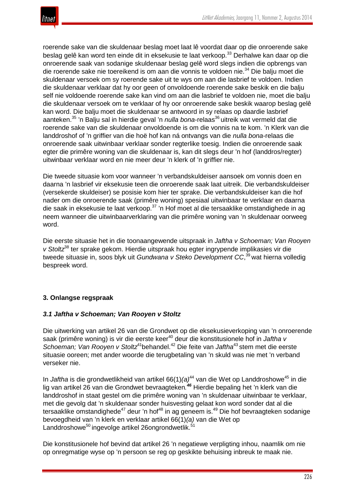

roerende sake van die skuldenaar beslag moet laat lê voordat daar op die onroerende sake beslag gelê kan word ten einde dit in eksekusie te laat verkoop.<sup>33</sup> Derhalwe kan daar op die onroerende saak van sodanige skuldenaar beslag gelê word slegs indien die opbrengs van die roerende sake nie toereikend is om aan die vonnis te voldoen nie.<sup>34</sup> Die balju moet die skuldenaar versoek om sy roerende sake uit te wys om aan die lasbrief te voldoen. Indien die skuldenaar verklaar dat hy oor geen of onvoldoende roerende sake beskik en die balju self nie voldoende roerende sake kan vind om aan die lasbrief te voldoen nie, moet die balju die skuldenaar versoek om te verklaar of hy oor onroerende sake beskik waarop beslag gelê kan word. Die balju moet die skuldenaar se antwoord in sy relaas op daardie lasbrief aanteken.<sup>35</sup> 'n Balju sal in hierdie geval 'n *nulla bona*-relaas<sup>36</sup> uitreik wat vermeld dat die roerende sake van die skuldenaar onvoldoende is om die vonnis na te kom. 'n Klerk van die landdroshof of 'n griffier van die hoë hof kan ná ontvangs van die *nulla bona*-relaas die onroerende saak uitwinbaar verklaar sonder regterlike toesig. Indien die onroerende saak egter die primêre woning van die skuldenaar is, kan dit slegs deur 'n hof (landdros/regter) uitwinbaar verklaar word en nie meer deur 'n klerk of 'n griffier nie.

Die tweede situasie kom voor wanneer 'n verbandskuldeiser aansoek om vonnis doen en daarna 'n lasbrief vir eksekusie teen die onroerende saak laat uitreik. Die verbandskuldeiser (versekerde skuldeiser) se posisie kom hier ter sprake. Die verbandskuldeiser kan die hof nader om die onroerende saak (primêre woning) spesiaal uitwinbaar te verklaar en daarna die saak in eksekusie te laat verkoop.<sup>37</sup> 'n Hof moet al die tersaaklike omstandighede in ag neem wanneer die uitwinbaarverklaring van die primêre woning van 'n skuldenaar oorweeg word.

Die eerste situasie het in die toonaangewende uitspraak in *Jaftha v Schoeman; Van Rooyen v Stoltz*<sup>38</sup> ter sprake gekom. Hierdie uitspraak hou egter ingrypende implikasies vir die tweede situasie in, soos blyk uit *Gundwana v Steko Development CC*, <sup>39</sup> wat hierna volledig bespreek word.

## **3. Onlangse regspraak**

## *3.1 Jaftha v Schoeman; Van Rooyen v Stoltz*

Die uitwerking van artikel 26 van die Grondwet op die eksekusieverkoping van 'n onroerende saak (primêre woning) is vir die eerste keer<sup>40</sup> deur die konstitusionele hof in *Jaftha v Schoeman; Van Rooyen v Stoltz*41behandel.42 Die feite van *Jaftha*<sup>43</sup> stem met die eerste situasie ooreen; met ander woorde die terugbetaling van 'n skuld was nie met 'n verband verseker nie.

In *Jaftha* is die grondwetlikheid van artikel 66(1)(a)<sup>44</sup> van die Wet op Landdroshowe<sup>45</sup> in die lig van artikel 26 van die Grondwet bevraagteken*. <sup>46</sup>* Hierdie bepaling het 'n klerk van die landdroshof in staat gestel om die primêre woning van 'n skuldenaar uitwinbaar te verklaar, met die gevolg dat 'n skuldenaar sonder huisvesting gelaat kon word sonder dat al die tersaaklike omstandighede<sup>47</sup> deur 'n hof<sup>48</sup> in ag geneem is.<sup>49</sup> Die hof bevraagteken sodanige bevoegdheid van 'n klerk en verklaar artikel 66(1)*(a)* van die Wet op Landdroshowe<sup>50</sup> ingevolge artikel 26ongrondwetlik.<sup>51</sup>

Die konstitusionele hof bevind dat artikel 26 'n negatiewe verpligting inhou, naamlik om nie op onregmatige wyse op 'n persoon se reg op geskikte behuising inbreuk te maak nie.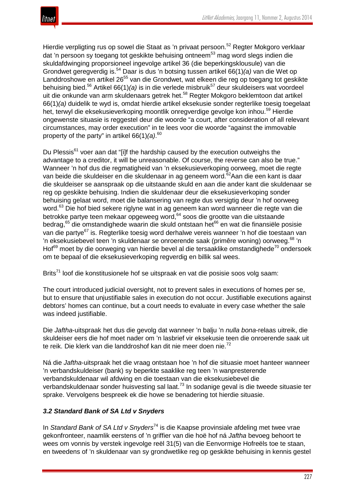

Hierdie verpligting rus op sowel die Staat as 'n privaat persoon.<sup>52</sup> Regter Mokgoro verklaar dat 'n persoon sy toegang tot geskikte behuising ontneem<sup>53</sup> mag word slegs indien die skuldafdwinging proporsioneel ingevolge artikel 36 (die beperkingsklousule) van die Grondwet geregverdig is.<sup>54</sup> Daar is dus 'n botsing tussen artikel 66(1)*(a)* van die Wet op Landdroshowe en artikel 26<sup>55</sup> van die Grondwet, wat elkeen die reg op toegang tot geskikte behuising bied.<sup>56</sup> Artikel 66(1)(a) is in die verlede misbruik<sup>57</sup> deur skuldeisers wat voordeel uit die onkunde van arm skuldenaars getrek het.<sup>58</sup> Regter Mokgoro beklemtoon dat artikel 66(1)*(a)* duidelik te wyd is, omdat hierdie artikel eksekusie sonder regterlike toesig toegelaat het, terwyl die eksekusieverkoping moontlik onregverdige gevolge kon inhou.<sup>59</sup> Hierdie ongewenste situasie is reggestel deur die woorde "a court, after consideration of all relevant circumstances, may order execution" in te lees voor die woorde "against the immovable property of the party" in artikel 66(1)*(a)*. 60

Du Plessis<sup>61</sup> voer aan dat "[i]f the hardship caused by the execution outweighs the advantage to a creditor, it will be unreasonable. Of course, the reverse can also be true." Wanneer 'n hof dus die regmatigheid van 'n eksekusieverkoping oorweeg, moet die regte van beide die skuldeiser en die skuldenaar in ag geneem word.<sup>62</sup>Aan die een kant is daar die skuldeiser se aanspraak op die uitstaande skuld en aan die ander kant die skuldenaar se reg op geskikte behuising. Indien die skuldenaar deur die eksekusieverkoping sonder behuising gelaat word, moet die balansering van regte dus versigtig deur 'n hof oorweeg word.<sup>63</sup> Die hof bied sekere riglyne wat in ag geneem kan word wanneer die regte van die betrokke partye teen mekaar opgeweeg word,<sup>64</sup> soos die grootte van die uitstaande bedrag,<sup>65</sup> die omstandighede waarin die skuld ontstaan het<sup>66</sup> en wat die finansiële posisie van die partye<sup>67</sup> is. Regterlike toesig word derhalwe vereis wanneer 'n hof die toestaan van 'n eksekusiebevel teen 'n skuldenaar se onroerende saak (primêre woning) oorweeg.<sup>68</sup> 'n Hof $^{69}$  moet by die oorweging van hierdie bevel al die tersaaklike omstandighede<sup>70</sup> ondersoek om te bepaal of die eksekusieverkoping regverdig en billik sal wees.

Brits<sup>71</sup> loof die konstitusionele hof se uitspraak en vat die posisie soos volg saam:

The court introduced judicial oversight, not to prevent sales in executions of homes per se, but to ensure that unjustifiable sales in execution do not occur. Justifiable executions against debtors' homes can continue, but a court needs to evaluate in every case whether the sale was indeed justifiable.

Die *Jaftha*-uitspraak het dus die gevolg dat wanneer 'n balju 'n *nulla bona*-relaas uitreik, die skuldeiser eers die hof moet nader om 'n lasbrief vir eksekusie teen die onroerende saak uit te reik. Die klerk van die landdroshof kan dit nie meer doen nie.<sup>72</sup>

Ná die *Jaftha*-uitspraak het die vraag ontstaan hoe 'n hof die situasie moet hanteer wanneer 'n verbandskuldeiser (bank) sy beperkte saaklike reg teen 'n wanpresterende verbandskuldenaar wil afdwing en die toestaan van die eksekusiebevel die verbandskuldenaar sonder huisvesting sal laat.<sup>73</sup> In sodanige geval is die tweede situasie ter sprake. Vervolgens bespreek ek die howe se benadering tot hierdie situasie.

## *3.2 Standard Bank of SA Ltd v Snyders*

In *Standard Bank of SA Ltd v Snyders*<sup>74</sup> is die Kaapse provinsiale afdeling met twee vrae gekonfronteer, naamlik eerstens of 'n griffier van die hoë hof ná *Jaftha* bevoeg behoort te wees om vonnis by verstek ingevolge reël 31(5) van die Eenvormige Hofreëls toe te staan, en tweedens of 'n skuldenaar van sy grondwetlike reg op geskikte behuising in kennis gestel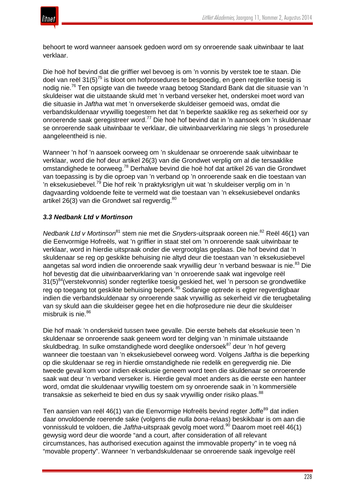

behoort te word wanneer aansoek gedoen word om sy onroerende saak uitwinbaar te laat verklaar.

Die hoë hof bevind dat die griffier wel bevoeg is om 'n vonnis by verstek toe te staan. Die doel van reël  $31(5)^{75}$  is bloot om hofprosedures te bespoedig, en geen regterlike toesig is nodig nie.<sup>76</sup> Ten opsigte van die tweede vraag betoog Standard Bank dat die situasie van 'n skuldeiser wat die uitstaande skuld met 'n verband verseker het, onderskei moet word van die situasie in *Jaftha* wat met 'n onversekerde skuldeiser gemoeid was, omdat die verbandskuldenaar vrywillig toegestem het dat 'n beperkte saaklike reg as sekerheid oor sy onroerende saak geregistreer word.<sup>77</sup> Die hoë hof bevind dat in 'n aansoek om 'n skuldenaar se onroerende saak uitwinbaar te verklaar, die uitwinbaarverklaring nie slegs 'n prosedurele aangeleentheid is nie.

Wanneer 'n hof 'n aansoek oorweeg om 'n skuldenaar se onroerende saak uitwinbaar te verklaar, word die hof deur artikel 26(3) van die Grondwet verplig om al die tersaaklike omstandighede te oorweeg.<sup>78</sup> Derhalwe bevind die hoë hof dat artikel 26 van die Grondwet van toepassing is by die oproep van 'n verband op 'n onroerende saak en die toestaan van 'n eksekusiebevel.<sup>79</sup> Die hof reik 'n praktyksriglyn uit wat 'n skuldeiser verplig om in 'n dagvaarding voldoende feite te vermeld wat die toestaan van 'n eksekusiebevel ondanks artikel 26(3) van die Grondwet sal regverdig.<sup>80</sup>

## *3.3 Nedbank Ltd v Mortinson*

*Nedbank Ltd v Mortinson*<sup>81</sup> stem nie met die *Snyders*-uitspraak ooreen nie.82 Reël 46(1) van die Eenvormige Hofreëls, wat 'n griffier in staat stel om 'n onroerende saak uitwinbaar te verklaar, word in hierdie uitspraak onder die vergrootglas geplaas. Die hof bevind dat 'n skuldenaar se reg op geskikte behuising nie altyd deur die toestaan van 'n eksekusiebevel aangetas sal word indien die onroerende saak vrywillig deur 'n verband beswaar is nie.<sup>83</sup> Die hof bevestig dat die uitwinbaarverklaring van 'n onroerende saak wat ingevolge reël 31(5)<sup>84</sup>(verstekvonnis) sonder regterlike toesig geskied het, wel 'n persoon se grondwetlike reg op toegang tot geskikte behuising beperk.<sup>85</sup> Sodanige optrede is egter regverdigbaar indien die verbandskuldenaar sy onroerende saak vrywillig as sekerheid vir die terugbetaling van sy skuld aan die skuldeiser gegee het en die hofprosedure nie deur die skuldeiser misbruik is nie.<sup>86</sup>

Die hof maak 'n onderskeid tussen twee gevalle. Die eerste behels dat eksekusie teen 'n skuldenaar se onroerende saak geneem word ter delging van 'n minimale uitstaande skuldbedrag. In sulke omstandighede word deeglike ondersoek<sup>87</sup> deur 'n hof geverg wanneer die toestaan van 'n eksekusiebevel oorweeg word. Volgens *Jaftha* is die beperking op die skuldenaar se reg in hierdie omstandighede nie redelik en geregverdig nie. Die tweede geval kom voor indien eksekusie geneem word teen die skuldenaar se onroerende saak wat deur 'n verband verseker is. Hierdie geval moet anders as die eerste een hanteer word, omdat die skuldenaar vrywillig toestem om sy onroerende saak in 'n kommersiële transaksie as sekerheid te bied en dus sy saak vrywillig onder risiko plaas.<sup>88</sup>

Ten aansien van reël 46(1) van die Eenvormige Hofreëls bevind regter Joffe<sup>89</sup> dat indien daar onvoldoende roerende sake (volgens die *nulla bona*-relaas) beskikbaar is om aan die vonnisskuld te voldoen, die *Jaftha*-uitspraak gevolg moet word.<sup>90</sup> Daarom moet reël 46(1) gewysig word deur die woorde "and a court, after consideration of all relevant circumstances, has authorised execution against the immovable property" in te voeg ná "movable property". Wanneer 'n verbandskuldenaar se onroerende saak ingevolge reël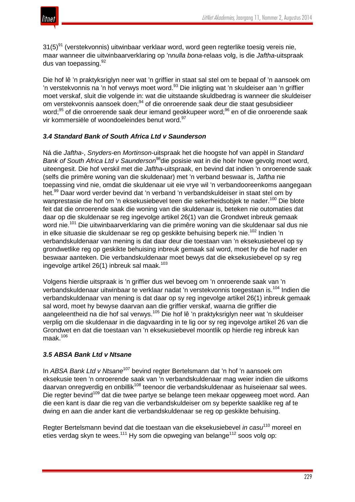

 $31(5)^{91}$  (verstekvonnis) uitwinbaar verklaar word, word geen regterlike toesig vereis nie, maar wanneer die uitwinbaarverklaring op 'n*nulla bona*-relaas volg, is die *Jaftha*-uitspraak dus van toepassing. 92

Die hof lê 'n praktyksriglyn neer wat 'n griffier in staat sal stel om te bepaal of 'n aansoek om 'n verstekvonnis na 'n hof verwys moet word.<sup>93</sup> Die inligting wat 'n skuldeiser aan 'n griffier moet verskaf, sluit die volgende in: wat die uitstaande skuldbedrag is wanneer die skuldeiser om verstekvonnis aansoek doen;<sup>94</sup> of die onroerende saak deur die staat gesubsidieer word;<sup>95</sup> of die onroerende saak deur iemand geokkupeer word;<sup>96</sup> en of die onroerende saak vir kommersiële of woondoeleindes benut word.<sup>97</sup>

# *3.4 Standard Bank of South Africa Ltd v Saunderson*

Ná die *Jaftha*-, *Snyders*-en *Mortinson*-uitspraak het die hoogste hof van appèl in *Standard Bank of South Africa Ltd v Saunderson*98die posisie wat in die hoër howe gevolg moet word, uiteengesit. Die hof verskil met die *Jaftha*-uitspraak, en bevind dat indien 'n onroerende saak (selfs die primêre woning van die skuldenaar) met 'n verband beswaar is, *Jaftha* nie toepassing vind nie, omdat die skuldenaar uit eie vrye wil 'n verbandooreenkoms aangegaan het.<sup>99</sup> Daar word verder bevind dat 'n verband 'n verbandskuldeiser in staat stel om by wanprestasie die hof om 'n eksekusiebevel teen die sekerheidsobjek te nader.<sup>100</sup> Die blote feit dat die onroerende saak die woning van die skuldenaar is, beteken nie outomaties dat daar op die skuldenaar se reg ingevolge artikel 26(1) van die Grondwet inbreuk gemaak word nie.<sup>101</sup> Die uitwinbaarverklaring van die primêre woning van die skuldenaar sal dus nie in elke situasie die skuldenaar se reg op geskikte behuising beperk nie.<sup>102</sup> Indien 'n verbandskuldenaar van mening is dat daar deur die toestaan van 'n eksekusiebevel op sy grondwetlike reg op geskikte behuising inbreuk gemaak sal word, moet hy die hof nader en beswaar aanteken. Die verbandskuldenaar moet bewys dat die eksekusiebevel op sy reg ingevolge artikel  $26(1)$  inbreuk sal maak.<sup>103</sup>

Volgens hierdie uitspraak is 'n griffier dus wel bevoeg om 'n onroerende saak van 'n verbandskuldenaar uitwinbaar te verklaar nadat 'n verstekvonnis toegestaan is.<sup>104</sup> Indien die verbandskuldenaar van mening is dat daar op sy reg ingevolge artikel 26(1) inbreuk gemaak sal word, moet hy bewyse daarvan aan die griffier verskaf, waarna die griffier die aangeleentheid na die hof sal verwys.<sup>105</sup> Die hof lê 'n praktyksriglyn neer wat 'n skuldeiser verplig om die skuldenaar in die dagvaarding in te lig oor sy reg ingevolge artikel 26 van die Grondwet en dat die toestaan van 'n eksekusiebevel moontlik op hierdie reg inbreuk kan maak. $106$ 

## *3.5 ABSA Bank Ltd v Ntsane*

In *ABSA Bank Ltd v Ntsane*<sup>107</sup> bevind regter Bertelsmann dat 'n hof 'n aansoek om eksekusie teen 'n onroerende saak van 'n verbandskuldenaar mag weier indien die uitkoms daarvan onregverdig en onbillik<sup>108</sup> teenoor die verbandskuldenaar as huiseienaar sal wees. Die regter bevind<sup>109</sup> dat die twee partye se belange teen mekaar opgeweeg moet word. Aan die een kant is daar die reg van die verbandskuldeiser om sy beperkte saaklike reg af te dwing en aan die ander kant die verbandskuldenaar se reg op geskikte behuising.

Regter Bertelsmann bevind dat die toestaan van die eksekusiebevel *in casu*<sup>110</sup> moreel en eties verdag skyn te wees.<sup>111</sup> Hy som die opweging van belange<sup>112</sup> soos volg op: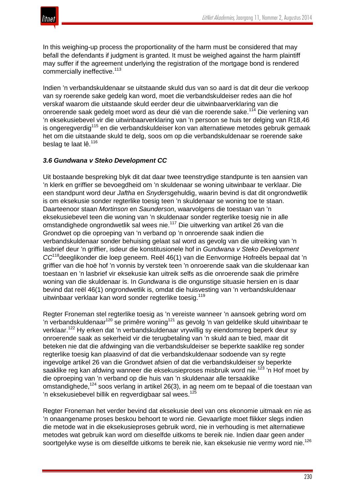

In this weighing-up process the proportionality of the harm must be considered that may befall the defendants if judgment is granted. It must be weighed against the harm plaintiff may suffer if the agreement underlying the registration of the mortgage bond is rendered commercially ineffective.<sup>113</sup>

Indien 'n verbandskuldenaar se uitstaande skuld dus van so aard is dat dit deur die verkoop van sy roerende sake gedelg kan word, moet die verbandskuldeiser redes aan die hof verskaf waarom die uitstaande skuld eerder deur die uitwinbaarverklaring van die onroerende saak gedelg moet word as deur dié van die roerende sake.<sup>114</sup> Die verlening van 'n eksekusiebevel vir die uitwinbaarverklaring van 'n persoon se huis ter delging van R18,46 is ongeregverdig<sup>115</sup> en die verbandskuldeiser kon van alternatiewe metodes gebruik gemaak het om die uitstaande skuld te delg, soos om op die verbandskuldenaar se roerende sake beslag te laat lê.<sup>116</sup>

## *3.6 Gundwana v Steko Development CC*

Uit bostaande bespreking blyk dit dat daar twee teenstrydige standpunte is ten aansien van 'n klerk en griffier se bevoegdheid om 'n skuldenaar se woning uitwinbaar te verklaar. Die een standpunt word deur *Jaftha* en *Snyders*gehuldig, waarin bevind is dat dit ongrondwetlik is om eksekusie sonder regterlike toesig teen 'n skuldenaar se woning toe te staan. Daarteenoor staan *Mortinson* en *Saunderson*, waarvolgens die toestaan van 'n eksekusiebevel teen die woning van 'n skuldenaar sonder regterlike toesig nie in alle omstandighede ongrondwetlik sal wees nie.<sup>117</sup> Die uitwerking van artikel 26 van die Grondwet op die oproeping van 'n verband op 'n onroerende saak indien die verbandskuldenaar sonder behuising gelaat sal word as gevolg van die uitreiking van 'n lasbrief deur 'n griffier, isdeur die konstitusionele hof in *Gundwana v Steko Development CC*118deeglikonder die loep geneem. Reël 46(1) van die Eenvormige Hofreëls bepaal dat 'n griffier van die hoë hof 'n vonnis by verstek teen 'n onroerende saak van die skuldenaar kan toestaan en 'n lasbrief vir eksekusie kan uitreik selfs as die onroerende saak die primêre woning van die skuldenaar is. In *Gundwana* is die ongunstige situasie hersien en is daar bevind dat reël 46(1) ongrondwetlik is, omdat die huisvesting van 'n verbandskuldenaar uitwinbaar verklaar kan word sonder regterlike toesig.<sup>119</sup>

Regter Froneman stel regterlike toesig as 'n vereiste wanneer 'n aansoek gebring word om 'n verbandskuldenaar<sup>120</sup> se primêre woning<sup>121</sup> as gevolg 'n van geldelike skuld uitwinbaar te verklaar.<sup>122</sup> Hy erken dat 'n verbandskuldenaar vrywillig sy eiendomsreg beperk deur sy onroerende saak as sekerheid vir die terugbetaling van 'n skuld aan te bied, maar dit beteken nie dat die afdwinging van die verbandskuldeiser se beperkte saaklike reg sonder regterlike toesig kan plaasvind of dat die verbandskuldenaar sodoende van sy regte ingevolge artikel 26 van die Grondwet afsien of dat die verbandskuldeiser sy beperkte saaklike reg kan afdwing wanneer die eksekusieproses misbruik word nie.<sup>123</sup> 'n Hof moet by die oproeping van 'n verband op die huis van 'n skuldenaar alle tersaaklike omstandighede.<sup>124</sup> soos verlang in artikel 26(3), in ag neem om te bepaal of die toestaan van 'n eksekusiebevel billik en regverdigbaar sal wees.<sup>125</sup>

Regter Froneman het verder bevind dat eksekusie deel van ons ekonomie uitmaak en nie as 'n onaangename proses beskou behoort te word nie. Gevaarligte moet flikker slegs indien die metode wat in die eksekusieproses gebruik word, nie in verhouding is met alternatiewe metodes wat gebruik kan word om dieselfde uitkoms te bereik nie. Indien daar geen ander soortgelyke wyse is om dieselfde uitkoms te bereik nie, kan eksekusie nie vermy word nie.<sup>126</sup>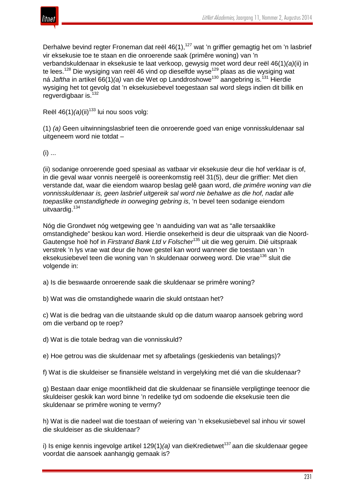

Derhalwe bevind regter Froneman dat reël 46(1),<sup>127</sup> wat 'n griffier gemagtig het om 'n lasbrief vir eksekusie toe te staan en die onroerende saak (primêre woning) van 'n verbandskuldenaar in eksekusie te laat verkoop, gewysig moet word deur reël 46(1)*(a)*(ii) in te lees.<sup>128</sup> Die wysiging van reël 46 vind op dieselfde wyse<sup>129</sup> plaas as die wysiging wat ná *Jaftha* in artikel 66(1)*(a)* van die Wet op Landdroshowe<sup>130</sup> aangebring is.<sup>131</sup> Hierdie wysiging het tot gevolg dat 'n eksekusiebevel toegestaan sal word slegs indien dit billik en regverdigbaar is.<sup>132</sup>

Reël 46(1)(a)(ii)<sup>133</sup> lui nou soos volg:

(1) *(a)* Geen uitwinningslasbrief teen die onroerende goed van enige vonnisskuldenaar sal uitgeneem word nie totdat –

 $(i)$  ...

(ii) sodanige onroerende goed spesiaal as vatbaar vir eksekusie deur die hof verklaar is of, in die geval waar vonnis neergelê is ooreenkomstig reël 31(5), deur die griffier: Met dien verstande dat, waar die eiendom waarop beslag gelê gaan word, *die primêre woning van die vonnisskuldenaar is, geen lasbrief uitgereik sal word nie behalwe as die hof, nadat alle toepaslike omstandighede in oorweging gebring is*, 'n bevel teen sodanige eiendom uitvaardig.<sup>134</sup>

Nóg die Grondwet nóg wetgewing gee 'n aanduiding van wat as "alle tersaaklike omstandighede" beskou kan word. Hierdie onsekerheid is deur die uitspraak van die Noord-Gautengse hoë hof in *Firstrand Bank Ltd v Folscher*<sup>135</sup> uit die weg geruim. Dié uitspraak verstrek 'n lys vrae wat deur die howe gestel kan word wanneer die toestaan van 'n eksekusiebevel teen die woning van 'n skuldenaar oorweeg word. Die vrae<sup>136</sup> sluit die volgende in:

a) Is die beswaarde onroerende saak die skuldenaar se primêre woning?

b) Wat was die omstandighede waarin die skuld ontstaan het?

c) Wat is die bedrag van die uitstaande skuld op die datum waarop aansoek gebring word om die verband op te roep?

d) Wat is die totale bedrag van die vonnisskuld?

e) Hoe getrou was die skuldenaar met sy afbetalings (geskiedenis van betalings)?

f) Wat is die skuldeiser se finansiële welstand in vergelyking met dié van die skuldenaar?

g) Bestaan daar enige moontlikheid dat die skuldenaar se finansiële verpligtinge teenoor die skuldeiser geskik kan word binne 'n redelike tyd om sodoende die eksekusie teen die skuldenaar se primêre woning te vermy?

h) Wat is die nadeel wat die toestaan of weiering van 'n eksekusiebevel sal inhou vir sowel die skuldeiser as die skuldenaar?

i) Is enige kennis ingevolge artikel 129(1)(a) van dieKredietwet<sup>137</sup> aan die skuldenaar gegee voordat die aansoek aanhangig gemaak is?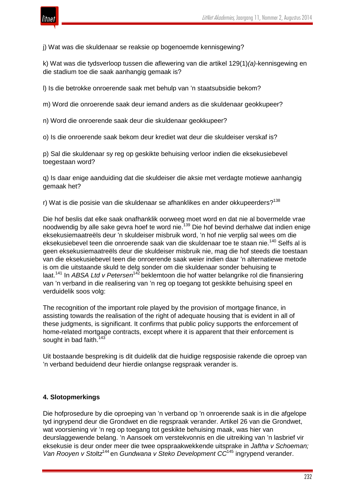

j) Wat was die skuldenaar se reaksie op bogenoemde kennisgewing?

k) Wat was die tydsverloop tussen die aflewering van die artikel 129(1)*(a)*-kennisgewing en die stadium toe die saak aanhangig gemaak is?

l) Is die betrokke onroerende saak met behulp van 'n staatsubsidie bekom?

m) Word die onroerende saak deur iemand anders as die skuldenaar geokkupeer?

n) Word die onroerende saak deur die skuldenaar geokkupeer?

o) Is die onroerende saak bekom deur krediet wat deur die skuldeiser verskaf is?

p) Sal die skuldenaar sy reg op geskikte behuising verloor indien die eksekusiebevel toegestaan word?

q) Is daar enige aanduiding dat die skuldeiser die aksie met verdagte motiewe aanhangig gemaak het?

r) Wat is die posisie van die skuldenaar se afhanklikes en ander okkupeerders?<sup>138</sup>

Die hof beslis dat elke saak onafhanklik oorweeg moet word en dat nie al bovermelde vrae noodwendig by alle sake gevra hoef te word nie.<sup>139</sup> Die hof bevind derhalwe dat indien enige eksekusiemaatreëls deur 'n skuldeiser misbruik word, 'n hof nie verplig sal wees om die eksekusiebevel teen die onroerende saak van die skuldenaar toe te staan nie.<sup>140</sup> Selfs al is geen eksekusiemaatreëls deur die skuldeiser misbruik nie, mag die hof steeds die toestaan van die eksekusiebevel teen die onroerende saak weier indien daar 'n alternatiewe metode is om die uitstaande skuld te delg sonder om die skuldenaar sonder behuising te laat.<sup>141</sup> In *ABSA Ltd v Petersen*<sup>142</sup> beklemtoon die hof watter belangrike rol die finansiering van 'n verband in die realisering van 'n reg op toegang tot geskikte behuising speel en verduidelik soos volg:

The recognition of the important role played by the provision of mortgage finance, in assisting towards the realisation of the right of adequate housing that is evident in all of these judgments, is significant. It confirms that public policy supports the enforcement of home-related mortgage contracts, except where it is apparent that their enforcement is sought in bad faith.<sup>143</sup>

Uit bostaande bespreking is dit duidelik dat die huidige regsposisie rakende die oproep van 'n verband beduidend deur hierdie onlangse regspraak verander is.

## **4. Slotopmerkings**

Die hofprosedure by die oproeping van 'n verband op 'n onroerende saak is in die afgelope tyd ingrypend deur die Grondwet en die regspraak verander. Artikel 26 van die Grondwet, wat voorsiening vir 'n reg op toegang tot geskikte behuising maak, was hier van deurslaggewende belang. 'n Aansoek om verstekvonnis en die uitreiking van 'n lasbrief vir eksekusie is deur onder meer die twee opspraakwekkende uitsprake in *Jaftha v Schoeman; Van Rooyen v Stoltz*<sup>144</sup> en *Gundwana v Steko Development CC*<sup>145</sup> ingrypend verander.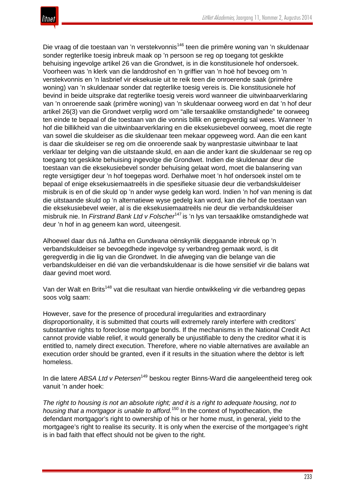

Die vraag of die toestaan van 'n verstekvonnis<sup>146</sup> teen die primêre woning van 'n skuldenaar sonder regterlike toesig inbreuk maak op 'n persoon se reg op toegang tot geskikte behuising ingevolge artikel 26 van die Grondwet, is in die konstitusionele hof ondersoek. Voorheen was 'n klerk van die landdroshof en 'n griffier van 'n hoë hof bevoeg om 'n verstekvonnis en 'n lasbrief vir eksekusie uit te reik teen die onroerende saak (primêre woning) van 'n skuldenaar sonder dat regterlike toesig vereis is. Die konstitusionele hof bevind in beide uitsprake dat regterlike toesig vereis word wanneer die uitwinbaarverklaring van 'n onroerende saak (primêre woning) van 'n skuldenaar oorweeg word en dat 'n hof deur artikel 26(3) van die Grondwet verplig word om "alle tersaaklike omstandighede" te oorweeg ten einde te bepaal of die toestaan van die vonnis billik en geregverdig sal wees. Wanneer 'n hof die billikheid van die uitwinbaarverklaring en die eksekusiebevel oorweeg, moet die regte van sowel die skuldeiser as die skuldenaar teen mekaar opgeweeg word. Aan die een kant is daar die skuldeiser se reg om die onroerende saak by wanprestasie uitwinbaar te laat verklaar ter delging van die uitstaande skuld, en aan die ander kant die skuldenaar se reg op toegang tot geskikte behuising ingevolge die Grondwet. Indien die skuldenaar deur die toestaan van die eksekusiebevel sonder behuising gelaat word, moet die balansering van regte versigtiger deur 'n hof toegepas word. Derhalwe moet 'n hof ondersoek instel om te bepaal of enige eksekusiemaatreëls in die spesifieke situasie deur die verbandskuldeiser misbruik is en of die skuld op 'n ander wyse gedelg kan word. Indien 'n hof van mening is dat die uitstaande skuld op 'n alternatiewe wyse gedelg kan word, kan die hof die toestaan van die eksekusiebevel weier, al is die eksekusiemaatreëls nie deur die verbandskuldeiser misbruik nie. In *Firstrand Bank Ltd v Folscher*<sup>147</sup> is 'n lys van tersaaklike omstandighede wat deur 'n hof in ag geneem kan word, uiteengesit.

Alhoewel daar dus ná *Jaftha* en *Gundwana* oënskynlik diepgaande inbreuk op 'n verbandskuldeiser se bevoegdhede ingevolge sy verbandreg gemaak word, is dit geregverdig in die lig van die Grondwet. In die afweging van die belange van die verbandskuldeiser en dié van die verbandskuldenaar is die howe sensitief vir die balans wat daar gevind moet word.

Van der Walt en Brits<sup>148</sup> vat die resultaat van hierdie ontwikkeling vir die verbandreg gepas soos volg saam:

However, save for the presence of procedural irregularities and extraordinary disproportionality, it is submitted that courts will extremely rarely interfere with creditors' substantive rights to foreclose mortgage bonds. If the mechanisms in the National Credit Act cannot provide viable relief, it would generally be unjustifiable to deny the creditor what it is entitled to, namely direct execution. Therefore, where no viable alternatives are available an execution order should be granted, even if it results in the situation where the debtor is left homeless.

In die latere *ABSA Ltd v Petersen*<sup>149</sup> beskou regter Binns-Ward die aangeleentheid tereg ook vanuit 'n ander hoek:

The right to housing is not an absolute right; and it is a right to adequate housing. not to *housing that a mortgagor is unable to afford.*<sup>150</sup> In the context of hypothecation, the defendant mortgagor's right to ownership of his or her home must, in general, yield to the mortgagee's right to realise its security. It is only when the exercise of the mortgagee's right is in bad faith that effect should not be given to the right.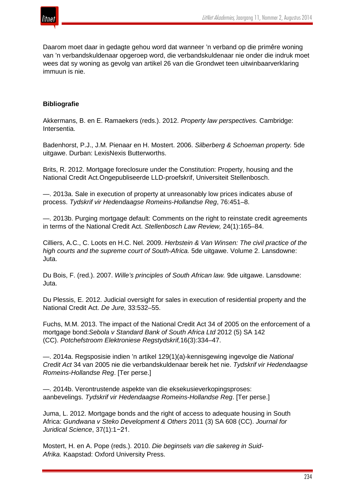

Daarom moet daar in gedagte gehou word dat wanneer 'n verband op die primêre woning van 'n verbandskuldenaar opgeroep word, die verbandskuldenaar nie onder die indruk moet wees dat sy woning as gevolg van artikel 26 van die Grondwet teen uitwinbaarverklaring immuun is nie.

## **Bibliografie**

Akkermans, B. en E. Ramaekers (reds.). 2012. *Property law perspectives.* Cambridge: Intersentia.

Badenhorst, P.J., J.M. Pienaar en H. Mostert. 2006. *Silberberg & Schoeman property.* 5de uitgawe. Durban: LexisNexis Butterworths.

Brits, R. 2012. Mortgage foreclosure under the Constitution: Property, housing and the National Credit Act*.*Ongepubliseerde LLD-proefskrif, Universiteit Stellenbosch.

—. 2013a. Sale in execution of property at unreasonably low prices indicates abuse of process. *Tydskrif vir Hedendaagse Romeins-Hollandse Reg*, 76:451–8.

—. 2013b. Purging mortgage default: Comments on the right to reinstate credit agreements in terms of the National Credit Act. *Stellenbosch Law Review,* 24(1):165–84.

Cilliers, A.C., C. Loots en H.C. Nel. 2009. *Herbstein & Van Winsen: The civil practice of the high courts and the supreme court of South-Africa.* 5de uitgawe. Volume 2. Lansdowne: Juta.

Du Bois, F. (red.). 2007. *Wille's principles of South African law.* 9de uitgawe. Lansdowne: Juta.

Du Plessis, E. 2012. Judicial oversight for sales in execution of residential property and the National Credit Act. *De Jure,* 33:532–55.

Fuchs, M.M. 2013. The impact of the National Credit Act 34 of 2005 on the enforcement of a mortgage bond:*Sebola v Standard Bank of South Africa Ltd* 2012 (5) SA 142 (CC). *Potchefstroom Elektroniese Regstydskrif,*16(3):334–47.

—. 2014a. Regsposisie indien 'n artikel 129(1)(a)-kennisgewing ingevolge die *National Credit Act* 34 van 2005 nie die verbandskuldenaar bereik het nie. *Tydskrif vir Hedendaagse Romeins-Hollandse Reg*. [Ter perse.]

—. 2014b. Verontrustende aspekte van die eksekusieverkopingsproses: aanbevelings. *Tydskrif vir Hedendaagse Romeins-Hollandse Reg*. [Ter perse.]

Juma, L. 2012. Mortgage bonds and the right of access to adequate housing in South Africa: *Gundwana v Steko Development & Others* 2011 (3) SA 608 (CC). *Journal for Juridical Science*, 37(1):1−21.

Mostert, H. en A. Pope (reds.). 2010. *Die beginsels van die sakereg in Suid-Afrika.* Kaapstad: Oxford University Press.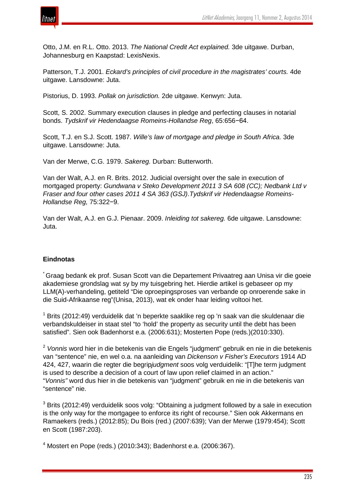

Otto, J.M. en R.L. Otto. 2013. *The National Credit Act explained.* 3de uitgawe. Durban, Johannesburg en Kaapstad: LexisNexis.

Patterson, T.J. 2001. *Eckard's principles of civil procedure in the magistrates' courts.* 4de uitgawe. Lansdowne: Juta.

Pistorius, D. 1993. *Pollak on jurisdiction.* 2de uitgawe. Kenwyn: Juta.

Scott, S. 2002. Summary execution clauses in pledge and perfecting clauses in notarial bonds. *Tydskrif vir Hedendaagse Romeins-Hollandse Reg*, 65:656−64.

Scott, T.J. en S.J. Scott. 1987. *Wille's law of mortgage and pledge in South Africa.* 3de uitgawe. Lansdowne: Juta.

Van der Merwe, C.G. 1979. *Sakereg.* Durban: Butterworth.

Van der Walt, A.J. en R. Brits. 2012. Judicial oversight over the sale in execution of mortgaged property: *Gundwana v Steko Development 2011 3 SA 608 (CC); Nedbank Ltd v Fraser and four other cases 2011 4 SA 363 (GSJ)*.*Tydskrif vir Hedendaagse Romeins-Hollandse Reg,* 75:322−9.

Van der Walt, A.J. en G.J. Pienaar. 2009. *Inleiding tot sakereg.* 6de uitgawe. Lansdowne: Juta.

## **Eindnotas**

\* Graag bedank ek prof. Susan Scott van die Departement Privaatreg aan Unisa vir die goeie akademiese grondslag wat sy by my tuisgebring het. Hierdie artikel is gebaseer op my LLM(A)-verhandeling, getiteld "Die oproepingsproses van verbande op onroerende sake in die Suid-Afrikaanse reg"(Unisa, 2013), wat ek onder haar leiding voltooi het*.*

 $1$  Brits (2012:49) verduidelik dat 'n beperkte saaklike reg op 'n saak van die skuldenaar die verbandskuldeiser in staat stel "to 'hold' the property as security until the debt has been satisfied". Sien ook Badenhorst e.a. (2006:631); Mosterten Pope (reds.)(2010:330).

<sup>2</sup> *Vonnis* word hier in die betekenis van die Engels "judgment" gebruik en nie in die betekenis van "sentence" nie, en wel o.a. na aanleiding van *Dickenson v Fisher's Executors* 1914 AD 424, 427, waarin die regter die begrip*judgment* soos volg verduidelik: "[T]he term judgment is used to describe a decision of a court of law upon relief claimed in an action." "*Vonnis"* word dus hier in die betekenis van "judgment" gebruik en nie in die betekenis van "sentence" nie.

<sup>3</sup> Brits (2012:49) verduidelik soos volg: "Obtaining a judgment followed by a sale in execution is the only way for the mortgagee to enforce its right of recourse." Sien ook Akkermans en Ramaekers (reds.) (2012:85); Du Bois (red.) (2007:639); Van der Merwe (1979:454); Scott en Scott (1987:203).

<sup>4</sup> Mostert en Pope (reds.) (2010:343); Badenhorst e.a. (2006:367).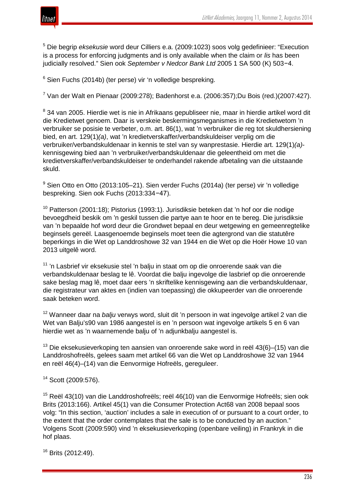

<sup>5</sup> Die begrip *eksekusie* word deur Cilliers e.a. (2009:1023) soos volg gedefinieer: "Execution is a process for enforcing judgments and is only available when the claim or *lis* has been judicially resolved." Sien ook *September v Nedcor Bank Ltd* 2005 1 SA 500 (K) 503−4.

 $6$  Sien Fuchs (2014b) (ter perse) vir 'n volledige bespreking.

<sup>7</sup> Van der Walt en Pienaar (2009:278); Badenhorst e.a. (2006:357);Du Bois (red.)(2007:427).

<sup>8</sup> 34 van 2005. Hierdie wet is nie in Afrikaans gepubliseer nie, maar in hierdie artikel word dit die Kredietwet genoem. Daar is verskeie beskermingsmeganismes in die Kredietwetom 'n verbruiker se posisie te verbeter, o.m. art. 86(1), wat 'n verbruiker die reg tot skuldhersiening bied, en art. 129(1)*(a)*, wat 'n kredietverskaffer/verbandskuldeiser verplig om die verbruiker/verbandskuldenaar in kennis te stel van sy wanprestasie. Hierdie art. 129(1)*(a)* kennisgewing bied aan 'n verbruiker/verbandskuldenaar die geleentheid om met die kredietverskaffer/verbandskuldeiser te onderhandel rakende afbetaling van die uitstaande skuld.

<sup>9</sup> Sien Otto en Otto (2013:105–21). Sien verder Fuchs (2014a) (ter perse) vir 'n volledige bespreking. Sien ook Fuchs (2013:334−47).

<sup>10</sup> Patterson (2001:18); Pistorius (1993:1). Jurisdiksie beteken dat 'n hof oor die nodige bevoegdheid beskik om 'n geskil tussen die partye aan te hoor en te bereg. Die jurisdiksie van 'n bepaalde hof word deur die Grondwet bepaal en deur wetgewing en gemeenregtelike beginsels gereël. Laasgenoemde beginsels moet teen die agtergrond van die statutêre beperkings in die Wet op Landdroshowe 32 van 1944 en die Wet op die Hoër Howe 10 van 2013 uitgelê word.

<sup>11</sup> 'n Lasbrief vir eksekusie stel 'n balju in staat om op die onroerende saak van die verbandskuldenaar beslag te lê. Voordat die balju ingevolge die lasbrief op die onroerende sake beslag mag lê, moet daar eers 'n skriftelike kennisgewing aan die verbandskuldenaar, die registrateur van aktes en (indien van toepassing) die okkupeerder van die onroerende saak beteken word.

<sup>12</sup> Wanneer daar na *balju* verwys word, sluit dit 'n persoon in wat ingevolge artikel 2 van die Wet van Balju's90 van 1986 aangestel is en 'n persoon wat ingevolge artikels 5 en 6 van hierdie wet as 'n waarnemende balju of 'n adjunkbalju aangestel is.

 $13$  Die eksekusieverkoping ten aansien van onroerende sake word in reël 43(6)–(15) van die Landdroshofreëls, gelees saam met artikel 66 van die Wet op Landdroshowe 32 van 1944 en reël 46(4)–(14) van die Eenvormige Hofreëls, gereguleer.

<sup>14</sup> Scott (2009:576).

<sup>15</sup> Reël 43(10) van die Landdroshofreëls; reël 46(10) van die Eenvormige Hofreëls; sien ook Brits (2013:166). Artikel 45(1) van die Consumer Protection Act68 van 2008 bepaal soos volg: "In this section, 'auction' includes a sale in execution of or pursuant to a court order, to the extent that the order contemplates that the sale is to be conducted by an auction." Volgens Scott (2009:590) vind 'n eksekusieverkoping (openbare veiling) in Frankryk in die hof plaas.

<sup>16</sup> Brits (2012:49).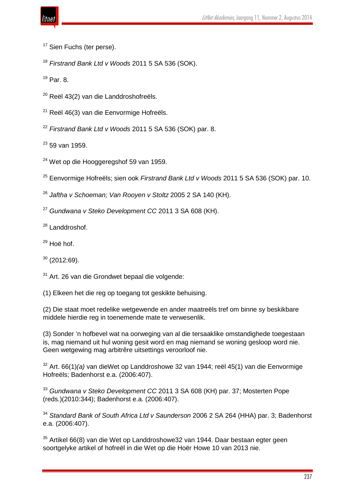<sup>17</sup> Sien Fuchs (ter perse).

<sup>18</sup> *Firstrand Bank Ltd v Woods* 2011 5 SA 536 (SOK).

<sup>19</sup> Par. 8.

- <sup>20</sup> Reël 43(2) van die Landdroshofreëls.
- $21$  Reël 46(3) van die Eenvormige Hofreëls.
- <sup>22</sup> *Firstrand Bank Ltd v Woods* 2011 5 SA 536 (SOK) par. 8.

 $23$  59 van 1959.

<sup>24</sup> Wet op die Hooggeregshof 59 van 1959.

<sup>25</sup> Eenvormige Hofreëls; sien ook *Firstrand Bank Ltd v Woods* 2011 5 SA 536 (SOK) par. 10.

- <sup>26</sup> *Jaftha v Schoeman; Van Rooyen v Stoltz* 2005 2 SA 140 (KH).
- <sup>27</sup> *Gundwana v Steko Development CC* 2011 3 SA 608 (KH).
- <sup>28</sup> Landdroshof.
- $29$  Hoë hof.
- $30$  (2012:69).
- $31$  Art. 26 van die Grondwet bepaal die volgende:
- (1) Elkeen het die reg op toegang tot geskikte behuising.

(2) Die staat moet redelike wetgewende en ander maatreëls tref om binne sy beskikbare middele hierdie reg in toenemende mate te verwesenlik.

(3) Sonder 'n hofbevel wat na oorweging van al die tersaaklike omstandighede toegestaan is, mag niemand uit hul woning gesit word en mag niemand se woning gesloop word nie. Geen wetgewing mag arbitrêre uitsettings veroorloof nie.

<sup>32</sup> Art. 66(1)*(a)* van dieWet op Landdroshowe 32 van 1944; reël 45(1) van die Eenvormige Hofreëls; Badenhorst e.a. (2006:407).

<sup>33</sup> *Gundwana v Steko Development CC* 2011 3 SA 608 (KH) par. 37; Mosterten Pope (reds.)(2010:344); Badenhorst e.a. (2006:407).

<sup>34</sup> *Standard Bank of South Africa Ltd v Saunderson* 2006 2 SA 264 (HHA) par. 3; Badenhorst e.a. (2006:407).

 $35$  Artikel 66(8) van die Wet op Landdroshowe32 van 1944. Daar bestaan egter geen soortgelyke artikel of hofreël in die Wet op die Hoër Howe 10 van 2013 nie.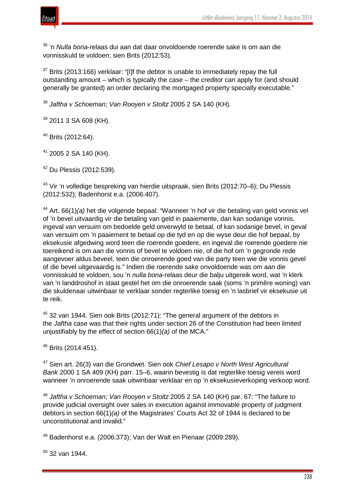

<sup>36</sup> 'n *Nulla bona*-relaas dui aan dat daar onvoldoende roerende sake is om aan die vonnisskuld te voldoen; sien Brits (2012:53).

 $37$  Brits (2013:166) verklaar: "[I]f the debtor is unable to immediately repay the full outstanding amount – which is typically the case – the creditor can apply for (and should generally be granted) an order declaring the mortgaged property specially executable."

<sup>38</sup> *Jaftha v Schoeman; Van Rooyen v Stoltz* 2005 2 SA 140 (KH).

 $39$  2011 3 SA 608 (KH).

 $40$  Brits (2012:64).

 $41$  2005 2 SA 140 (KH).

 $42$  Du Plessis (2012:539).

<sup>43</sup> Vir 'n volledige bespreking van hierdie uitspraak, sien Brits (2012:70–6); Du Plessis (2012:532); Badenhorst e.a. (2006:407).

<sup>44</sup> Art. 66(1)*(a)* het die volgende bepaal: "Wanneer 'n hof vir die betaling van geld vonnis vel of 'n bevel uitvaardig vir die betaling van geld in paaiemente, dan kan sodanige vonnis, ingeval van versuim om bedoelde geld onverwyld te betaal, of kan sodanige bevel, in geval van versuim om 'n paaiement te betaal op die tyd en op die wyse deur die hof bepaal, by eksekusie afgedwing word teen die roerende goedere, en ingeval die roerende goedere nie toereikend is om aan die vonnis of bevel te voldoen nie, of die hof om 'n gegronde rede aangevoer aldus beveel, teen die onroerende goed van die party teen wie die vonnis gevel of die bevel uitgevaardig is." Indien die roerende sake onvoldoende was om aan die vonnisskuld te voldoen, sou 'n *nulla bona*-relaas deur die balju uitgereik word, wat 'n klerk van 'n landdroshof in staat gestel het om die onroerende saak (soms 'n primêre woning) van die skuldenaar uitwinbaar te verklaar sonder regterlike toesig en 'n lasbrief vir eksekusie uit te reik.

<sup>45</sup> 32 van 1944. Sien ook Brits (2012:71): "The general argument of the debtors in the *Jaftha* case was that their rights under section 26 of the Constitution had been limited unjustifiably by the effect of section 66(1)*(a)* of the MCA."

<sup>46</sup> Brits (2014:451).

<sup>47</sup> Sien art. 26(3) van die Grondwet. Sien ook *Chief Lesapo v North West Agricultural Bank* 2000 1 SA 409 (KH) parr. 15–6, waarin bevestig is dat regterlike toesig vereis word wanneer 'n onroerende saak uitwinbaar verklaar en op 'n eksekusieverkoping verkoop word.

<sup>48</sup> *Jaftha v Schoeman; Van Rooyen v Stoltz* 2005 2 SA 140 (KH) par. 67: "The failure to provide judicial oversight over sales in execution against immovable property of judgment debtors in section 66(1)*(a)* of the Magistrates' Courts Act 32 of 1944 is declared to be unconstitutional and invalid."

<sup>49</sup> Badenhorst e.a. (2006:373); Van der Walt en Pienaar (2009:289).

 $50$  32 van 1944.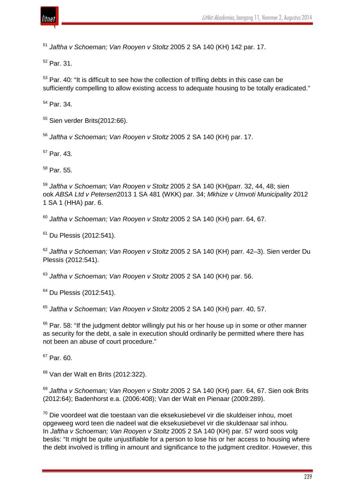

<sup>51</sup> *Jaftha v Schoeman; Van Rooyen v Stoltz* 2005 2 SA 140 (KH) 142 par. 17.

 $52$  Par. 31.

 $53$  Par. 40: "It is difficult to see how the collection of trifling debts in this case can be sufficiently compelling to allow existing access to adequate housing to be totally eradicated."

<sup>54</sup> Par. 34.

 $55$  Sien verder Brits(2012:66).

<sup>56</sup> *Jaftha v Schoeman; Van Rooyen v Stoltz* 2005 2 SA 140 (KH) par. 17.

 $57$  Par. 43.

 $58$  Par. 55.

<sup>59</sup> *Jaftha v Schoeman; Van Rooyen v Stoltz* 2005 2 SA 140 (KH)parr. 32, 44, 48; sien ook *ABSA Ltd v Petersen*2013 1 SA 481 (WKK) par. 34; *Mkhize v Umvoti Municipality* 2012 1 SA 1 (HHA) par. 6.

<sup>60</sup> *Jaftha v Schoeman; Van Rooyen v Stoltz* 2005 2 SA 140 (KH) parr. 64, 67.

<sup>61</sup> Du Plessis (2012:541).

<sup>62</sup> *Jaftha v Schoeman; Van Rooyen v Stoltz* 2005 2 SA 140 (KH) parr. 42–3). Sien verder Du Plessis (2012:541).

<sup>63</sup> *Jaftha v Schoeman; Van Rooyen v Stoltz* 2005 2 SA 140 (KH) par. 56.

<sup>64</sup> Du Plessis (2012:541).

<sup>65</sup> *Jaftha v Schoeman; Van Rooyen v Stoltz* 2005 2 SA 140 (KH) parr. 40, 57.

 $66$  Par. 58: "If the judgment debtor willingly put his or her house up in some or other manner as security for the debt, a sale in execution should ordinarily be permitted where there has not been an abuse of court procedure."

 $67$  Par. 60.

 $68$  Van der Walt en Brits (2012:322).

<sup>69</sup> *Jaftha v Schoeman; Van Rooyen v Stoltz* 2005 2 SA 140 (KH) parr. 64, 67. Sien ook Brits (2012:64); Badenhorst e.a. (2006:408); Van der Walt en Pienaar (2009:289).

 $70$  Die voordeel wat die toestaan van die eksekusiebevel vir die skuldeiser inhou, moet opgeweeg word teen die nadeel wat die eksekusiebevel vir die skuldenaar sal inhou. In *Jaftha v Schoeman; Van Rooyen v Stoltz* 2005 2 SA 140 (KH) par. 57 word soos volg beslis: "It might be quite unjustifiable for a person to lose his or her access to housing where the debt involved is trifling in amount and significance to the judgment creditor. However, this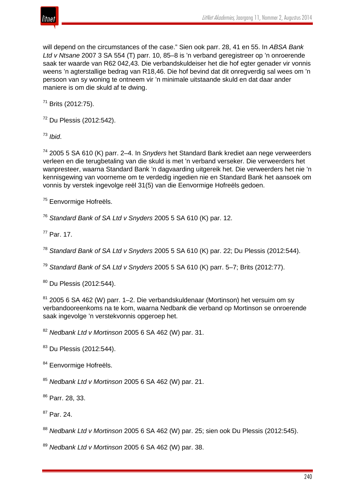

will depend on the circumstances of the case." Sien ook parr. 28, 41 en 55. In *ABSA Bank Ltd v Ntsane* 2007 3 SA 554 (T) parr. 10, 85–8 is 'n verband geregistreer op 'n onroerende saak ter waarde van R62 042,43. Die verbandskuldeiser het die hof egter genader vir vonnis weens 'n agterstallige bedrag van R18,46. Die hof bevind dat dit onregverdig sal wees om 'n persoon van sy woning te ontneem vir 'n minimale uitstaande skuld en dat daar ander maniere is om die skuld af te dwing.

 $71$  Brits (2012:75).

<sup>72</sup> Du Plessis (2012:542).

<sup>73</sup> *Ibid*.

<sup>74</sup> 2005 5 SA 610 (K) parr. 2–4. In *Snyders* het Standard Bank krediet aan nege verweerders verleen en die terugbetaling van die skuld is met 'n verband verseker. Die verweerders het wanpresteer, waarna Standard Bank 'n dagvaarding uitgereik het. Die verweerders het nie 'n kennisgewing van voorneme om te verdedig ingedien nie en Standard Bank het aansoek om vonnis by verstek ingevolge reël 31(5) van die Eenvormige Hofreëls gedoen.

<sup>75</sup> Eenvormige Hofreëls.

<sup>76</sup> *Standard Bank of SA Ltd v Snyders* 2005 5 SA 610 (K) par. 12.

<sup>77</sup> Par. 17.

<sup>78</sup> *Standard Bank of SA Ltd v Snyders* 2005 5 SA 610 (K) par. 22; Du Plessis (2012:544).

<sup>79</sup> *Standard Bank of SA Ltd v Snyders* 2005 5 SA 610 (K) parr. 5–7; Brits (2012:77).

<sup>80</sup> Du Plessis (2012:544).

<sup>81</sup> 2005 6 SA 462 (W) parr. 1–2. Die verbandskuldenaar (Mortinson) het versuim om sy verbandooreenkoms na te kom, waarna Nedbank die verband op Mortinson se onroerende saak ingevolge 'n verstekvonnis opgeroep het.

<sup>82</sup> *Nedbank Ltd v Mortinson* 2005 6 SA 462 (W) par. 31.

83 Du Plessis (2012:544).

<sup>84</sup> Eenvormige Hofreëls.

<sup>85</sup> *Nedbank Ltd v Mortinson* 2005 6 SA 462 (W) par. 21.

<sup>86</sup> Parr. 28, 33.

<sup>87</sup> Par. 24.

<sup>88</sup> *Nedbank Ltd v Mortinson* 2005 6 SA 462 (W) par. 25; sien ook Du Plessis (2012:545).

<sup>89</sup> *Nedbank Ltd v Mortinson* 2005 6 SA 462 (W) par. 38.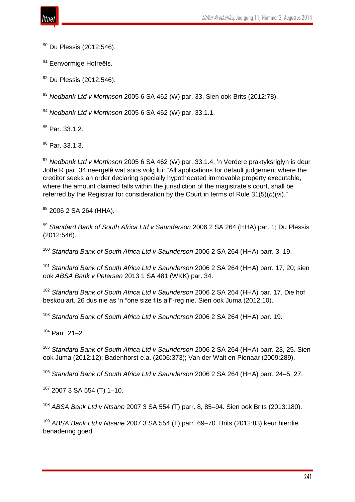

<sup>90</sup> Du Plessis (2012:546).

<sup>91</sup> Eenvormige Hofreëls.

92 Du Plessis (2012:546).

<sup>93</sup> *Nedbank Ltd v Mortinson* 2005 6 SA 462 (W) par. 33. Sien ook Brits (2012:78).

<sup>94</sup> *Nedbank Ltd v Mortinson* 2005 6 SA 462 (W) par. 33.1.1.

<sup>95</sup> Par. 33.1.2.

 $96$  Par. 33.1.3.

<sup>97</sup> *Nedbank Ltd v Mortinson* 2005 6 SA 462 (W) par. 33.1.4. 'n Verdere praktyksriglyn is deur Joffe R par. 34 neergelê wat soos volg lui: "All applications for default judgement where the creditor seeks an order declaring specially hypothecated immovable property executable, where the amount claimed falls within the jurisdiction of the magistrate's court, shall be referred by the Registrar for consideration by the Court in terms of Rule 31(5)(*b*)(vi)."

<sup>98</sup> 2006 2 SA 264 (HHA).

<sup>99</sup> *Standard Bank of South Africa Ltd v Saunderson* 2006 2 SA 264 (HHA) par. 1; Du Plessis (2012:546).

<sup>100</sup> *Standard Bank of South Africa Ltd v Saunderson* 2006 2 SA 264 (HHA) parr. 3, 19.

<sup>101</sup> *Standard Bank of South Africa Ltd v Saunderson* 2006 2 SA 264 (HHA) parr. 17, 20; sien ook *ABSA Bank v Petersen* 2013 1 SA 481 (WKK) par. 34.

<sup>102</sup> *Standard Bank of South Africa Ltd v Saunderson* 2006 2 SA 264 (HHA) par. 17. Die hof beskou art. 26 dus nie as 'n "one size fits all"-reg nie. Sien ook Juma (2012:10).

<sup>103</sup> *Standard Bank of South Africa Ltd v Saunderson* 2006 2 SA 264 (HHA) par. 19.

<sup>104</sup> Parr. 21–2.

<sup>105</sup> *Standard Bank of South Africa Ltd v Saunderson* 2006 2 SA 264 (HHA) parr. 23, 25. Sien ook Juma (2012:12); Badenhorst e.a. (2006:373); Van der Walt en Pienaar (2009:289).

<sup>106</sup> *Standard Bank of South Africa Ltd v Saunderson* 2006 2 SA 264 (HHA) parr. 24–5, 27.

 $107$  2007 3 SA 554 (T) 1-10.

<sup>108</sup> *ABSA Bank Ltd v Ntsane* 2007 3 SA 554 (T) parr. 8, 85–94. Sien ook Brits (2013:180).

<sup>109</sup> *ABSA Bank Ltd v Ntsane* 2007 3 SA 554 (T) parr. 69–70. Brits (2012:83) keur hierdie benadering goed.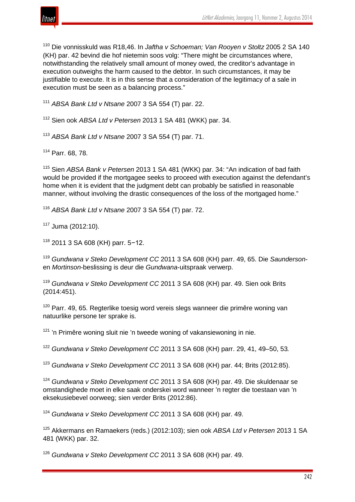

<sup>110</sup> Die vonnisskuld was R18,46. In *Jaftha v Schoeman; Van Rooyen v Stoltz* 2005 2 SA 140 (KH) par. 42 bevind die hof nietemin soos volg: "There might be circumstances where, notwithstanding the relatively small amount of money owed, the creditor's advantage in execution outweighs the harm caused to the debtor. In such circumstances, it may be justifiable to execute. It is in this sense that a consideration of the legitimacy of a sale in execution must be seen as a balancing process."

<sup>111</sup> *ABSA Bank Ltd v Ntsane* 2007 3 SA 554 (T) par. 22.

<sup>112</sup> Sien ook *ABSA Ltd v Petersen* 2013 1 SA 481 (WKK) par. 34.

<sup>113</sup> *ABSA Bank Ltd v Ntsane* 2007 3 SA 554 (T) par. 71.

<sup>114</sup> Parr. 68, 78.

<sup>115</sup> Sien *ABSA Bank v Petersen* 2013 1 SA 481 (WKK) par. 34: "An indication of bad faith would be provided if the mortgagee seeks to proceed with execution against the defendant's home when it is evident that the judgment debt can probably be satisfied in reasonable manner, without involving the drastic consequences of the loss of the mortgaged home."

<sup>116</sup> *ABSA Bank Ltd v Ntsane* 2007 3 SA 554 (T) par. 72.

 $117$  Juma (2012:10).

<sup>118</sup> 2011 3 SA 608 (KH) parr. 5−12.

<sup>119</sup> *Gundwana v Steko Development CC* 2011 3 SA 608 (KH) parr. 49, 65. Die *Saunderson*en *Mortinson*-beslissing is deur die *Gundwana*-uitspraak verwerp.

<sup>119</sup> *Gundwana v Steko Development CC* 2011 3 SA 608 (KH) par. 49. Sien ook Brits (2014:451).

 $120$  Parr. 49, 65. Regterlike toesig word vereis slegs wanneer die primêre woning van natuurlike persone ter sprake is.

 $121$  'n Primêre woning sluit nie 'n tweede woning of vakansiewoning in nie.

<sup>122</sup> *Gundwana v Steko Development CC* 2011 3 SA 608 (KH) parr. 29, 41, 49–50, 53*.*

<sup>123</sup> *Gundwana v Steko Development CC* 2011 3 SA 608 (KH) par. 44; Brits (2012:85).

<sup>124</sup> *Gundwana v Steko Development CC* 2011 3 SA 608 (KH) par. 49. Die skuldenaar se omstandighede moet in elke saak onderskei word wanneer 'n regter die toestaan van 'n eksekusiebevel oorweeg; sien verder Brits (2012:86).

<sup>124</sup> *Gundwana v Steko Development CC* 2011 3 SA 608 (KH) par. 49.

<sup>125</sup> Akkermans en Ramaekers (reds.) (2012:103); sien ook *ABSA Ltd v Petersen* 2013 1 SA 481 (WKK) par. 32.

<sup>126</sup> *Gundwana v Steko Development CC* 2011 3 SA 608 (KH) par. 49.